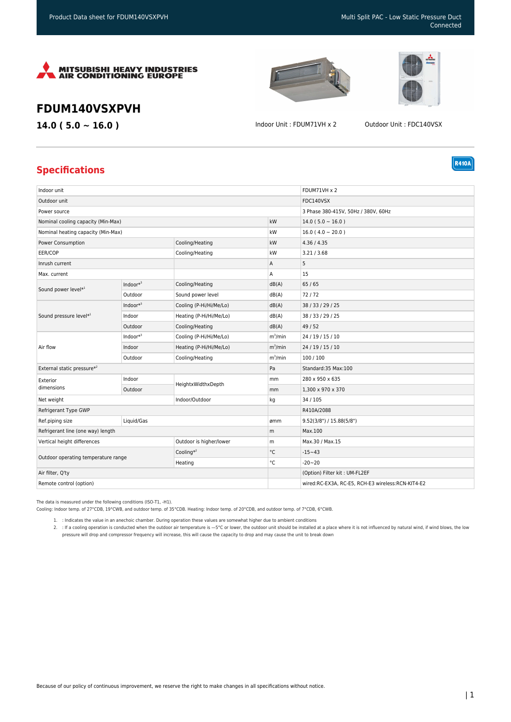



**R410A** 

## **FDUM140VSXPVH**

**14.0 ( 5.0 ~ 16.0 )** Indoor Unit : FDUM71VH x 2 Outdoor Unit : FDC140VSX

## **Specifications**

| Indoor unit                         |              |                         |                   | FDUM71VH x 2                                      |
|-------------------------------------|--------------|-------------------------|-------------------|---------------------------------------------------|
| Outdoor unit                        |              |                         | FDC140VSX         |                                                   |
| Power source                        |              |                         |                   | 3 Phase 380-415V, 50Hz / 380V, 60Hz               |
| Nominal cooling capacity (Min-Max)  |              |                         | kW                | $14.0(5.0 \sim 16.0)$                             |
| Nominal heating capacity (Min-Max)  |              |                         | kW                | $16.0(4.0 \sim 20.0)$                             |
| Power Consumption                   |              | Cooling/Heating         | kW                | 4.36 / 4.35                                       |
| EER/COP                             |              | Cooling/Heating         | kW                | 3.21 / 3.68                                       |
| Inrush current                      |              |                         | Α                 | 5                                                 |
| Max. current                        |              |                         | Α                 | 15                                                |
| Sound power level*1                 | $Indoor*3$   | Cooling/Heating         | dB(A)             | 65/65                                             |
|                                     | Outdoor      | Sound power level       | dB(A)             | 72/72                                             |
|                                     | Indoor $*^3$ | Cooling (P-Hi/Hi/Me/Lo) | dB(A)             | 38 / 33 / 29 / 25                                 |
| Sound pressure level <sup>*1</sup>  | Indoor       | Heating (P-Hi/Hi/Me/Lo) | dB(A)             | 38 / 33 / 29 / 25                                 |
| Air flow                            | Outdoor      | Cooling/Heating         | dB(A)             | 49/52                                             |
|                                     | Indoor $*^3$ | Cooling (P-Hi/Hi/Me/Lo) | $m^3/m$ in        | 24 / 19 / 15 / 10                                 |
|                                     | Indoor       | Heating (P-Hi/Hi/Me/Lo) | $m^3/m$ in        | 24 / 19 / 15 / 10                                 |
|                                     | Outdoor      | Cooling/Heating         | $m^3/m$ in        | 100/100                                           |
| External static pressure*2          |              |                         | Pa                | Standard:35 Max:100                               |
| Exterior                            | Indoor       | HeightxWidthxDepth      | mm                | 280 x 950 x 635                                   |
| dimensions                          | Outdoor      |                         | mm                | 1,300 x 970 x 370                                 |
| Net weight                          |              | Indoor/Outdoor          | kg                | 34 / 105                                          |
| Refrigerant Type GWP                |              |                         |                   | R410A/2088                                        |
| Ref.piping size                     | Liquid/Gas   |                         | ømm               | 9.52(3/8") / 15.88(5/8")                          |
| Refrigerant line (one way) length   |              |                         | m                 | Max.100                                           |
| Vertical height differences         |              | Outdoor is higher/lower | m                 | Max.30 / Max.15                                   |
| Outdoor operating temperature range |              | Cooling $*^2$           | $^{\circ}{\rm C}$ | $-15 - 43$                                        |
|                                     |              | Heating                 | $^{\circ}$ C      | $-20 - 20$                                        |
| Air filter, Q'ty                    |              |                         |                   | (Option) Filter kit: UM-FL2EF                     |
| Remote control (option)             |              |                         |                   | wired:RC-EX3A, RC-E5, RCH-E3 wireless:RCN-KIT4-E2 |

The data is measured under the following conditions (ISO-T1, -H1).

Cooling: Indoor temp. of 27°CDB, 19°CWB, and outdoor temp. of 35°CDB. Heating: Indoor temp. of 20°CDB, and outdoor temp. of 7°CDB, 6°CWB.

1. : Indicates the value in an anechoic chamber. During operation these values are somewhat higher due to ambient conditions

2. : If a cooling operation is conducted when the outdoor air temperature is —5°C or lower, the outdoor unit should be installed at a place where it is not influenced by natural wind, if wind blows, the low pressure will drop and compressor frequency will increase, this will cause the capacity to drop and may cause the unit to break down